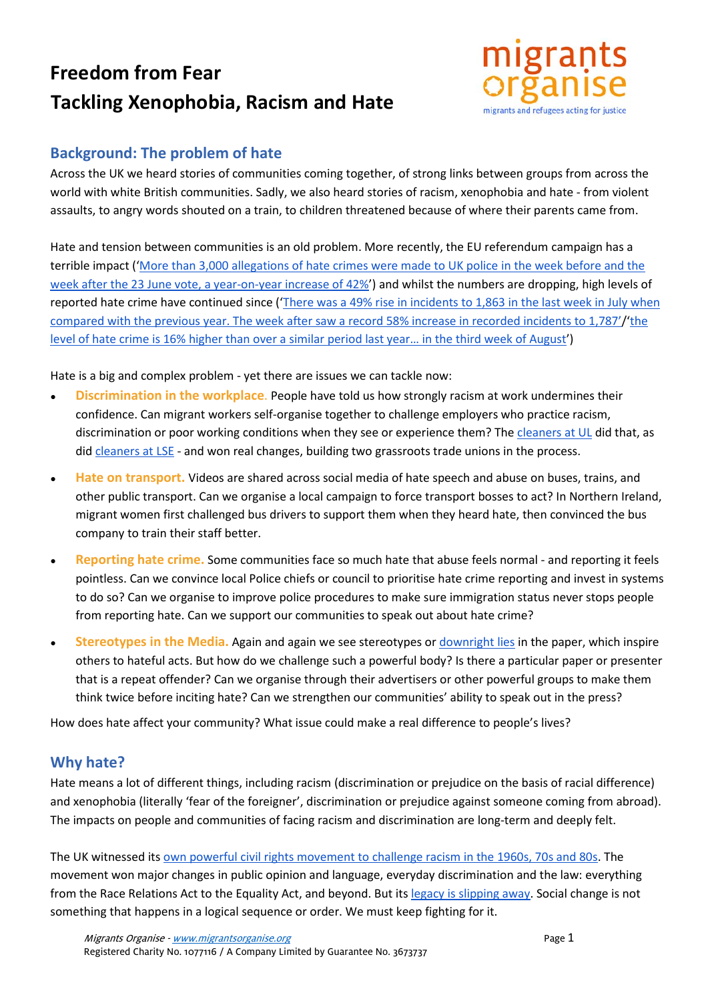# **Freedom from Fear Tackling Xenophobia, Racism and Hate**



## **Background: The problem of hate**

Across the UK we heard stories of communities coming together, of strong links between groups from across the world with white British communities. Sadly, we also heard stories of racism, xenophobia and hate - from violent assaults, to angry words shouted on a train, to children threatened because of where their parents came from.

Hate and tension between communities is an old problem. More recently, the EU referendum campaign has a terrible impact (['More than 3,000 allegations of hate crimes were made to UK police in the week before and the](https://www.theguardian.com/society/2016/jul/11/police-blame-worst-rise-in-recorded-hate-on-eu-referendum)  [week after the 23 June vote, a year-on-year increase of 42%'](https://www.theguardian.com/society/2016/jul/11/police-blame-worst-rise-in-recorded-hate-on-eu-referendum)) and whilst the numbers are dropping, high levels of reported hate crime have continued since (['There was a 49% rise in incidents to 1,863 in the last week in July when](https://www.theguardian.com/politics/2016/aug/26/politicians-rise-hate-crimes-brexit-vote-un-committee)  [compared with the previous year. The week after saw a record 58% increase in recorded incidents to 1,787'/](https://www.theguardian.com/politics/2016/aug/26/politicians-rise-hate-crimes-brexit-vote-un-committee)['the](https://www.theguardian.com/society/2016/sep/28/hate-crime-horrible-spike-brexit-vote-metropolitan-police)  [level of hate crime is 16% higher than over a similar period last year… in the third week of August'](https://www.theguardian.com/society/2016/sep/28/hate-crime-horrible-spike-brexit-vote-metropolitan-police))

Hate is a big and complex problem - yet there are issues we can tackle now:

- **• Discrimination in the workplace**. People have told us how strongly racism at work undermines their confidence. Can migrant workers self-organise together to challenge employers who practice racism, discrimination or poor working conditions when they see or experience them? The [cleaners at UL](https://iwgb.org.uk/how-we-began/) did that, as did [cleaners at LSE](http://www.uvwunion.org.uk/uvwnews/2016/5/19/breaking-news-lse-3-reinstated) - and won real changes, building two grassroots trade unions in the process.
- **Hate on transport.** Videos are shared across social media of hate speech and abuse on buses, trains, and other public transport. Can we organise a local campaign to force transport bosses to act? In Northern Ireland, migrant women first challenged bus drivers to support them when they heard hate, then convinced the bus company to train their staff better.
- **Reporting hate crime.** Some communities face so much hate that abuse feels normal and reporting it feels pointless. Can we convince local Police chiefs or council to prioritise hate crime reporting and invest in systems to do so? Can we organise to improve police procedures to make sure immigration status never stops people from reporting hate. Can we support our communities to speak out about hate crime?
- **Stereotypes in the Media.** Again and again we see stereotypes o[r downright lies](http://www.mediawise.org.uk/wp-content/uploads/2011/03/Making-a-meal-of-a-myth.pdf) in the paper, which inspire others to hateful acts. But how do we challenge such a powerful body? Is there a particular paper or presenter that is a repeat offender? Can we organise through their advertisers or other powerful groups to make them think twice before inciting hate? Can we strengthen our communities' ability to speak out in the press?

How does hate affect your community? What issue could make a real difference to people's lives?

#### **Why hate?**

Hate means a lot of different things, including racism (discrimination or prejudice on the basis of racial difference) and xenophobia (literally 'fear of the foreigner', discrimination or prejudice against someone coming from abroad). The impacts on people and communities of facing racism and discrimination are long-term and deeply felt.

The UK witnessed its [own powerful civil rights movement to challenge racism in the 1960s, 70s and 80s.](http://www.civilrightsmovement.co.uk/civil-rights-uk.html) The movement won major changes in public opinion and language, everyday discrimination and the law: everything from the Race Relations Act to the Equality Act, and beyond. But it[s legacy is slipping away.](http://blog.policy.manchester.ac.uk/featured/2014/10/why-has-britains-civil-rights-movement-been-forgotten/) Social change is not something that happens in a logical sequence or order. We must keep fighting for it.